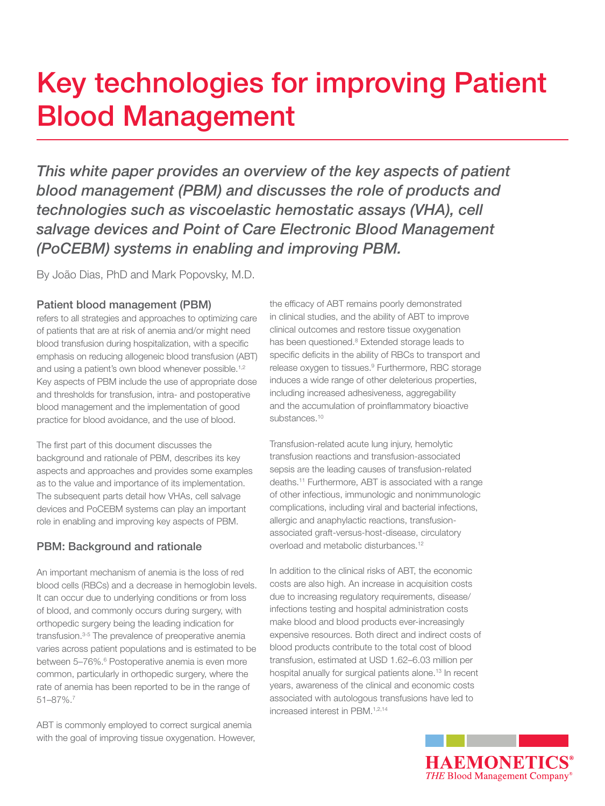## Key technologies for improving Patient Blood Management

*This white paper provides an overview of the key aspects of patient blood management (PBM) and discusses the role of products and technologies such as viscoelastic hemostatic assays (VHA), cell salvage devices and Point of Care Electronic Blood Management (PoCEBM) systems in enabling and improving PBM.*

By João Dias, PhD and Mark Popovsky, M.D.

### Patient blood management (PBM)

refers to all strategies and approaches to optimizing care of patients that are at risk of anemia and/or might need blood transfusion during hospitalization, with a specific emphasis on reducing allogeneic blood transfusion (ABT) and using a patient's own blood whenever possible.<sup>1,2</sup> Key aspects of PBM include the use of appropriate dose and thresholds for transfusion, intra- and postoperative blood management and the implementation of good practice for blood avoidance, and the use of blood.

The first part of this document discusses the background and rationale of PBM, describes its key aspects and approaches and provides some examples as to the value and importance of its implementation. The subsequent parts detail how VHAs, cell salvage devices and PoCEBM systems can play an important role in enabling and improving key aspects of PBM.

### PBM: Background and rationale

An important mechanism of anemia is the loss of red blood cells (RBCs) and a decrease in hemoglobin levels. It can occur due to underlying conditions or from loss of blood, and commonly occurs during surgery, with orthopedic surgery being the leading indication for transfusion.3-5 The prevalence of preoperative anemia varies across patient populations and is estimated to be between 5-76%.<sup>6</sup> Postoperative anemia is even more common, particularly in orthopedic surgery, where the rate of anemia has been reported to be in the range of 51–87%.7

ABT is commonly employed to correct surgical anemia with the goal of improving tissue oxygenation. However, the efficacy of ABT remains poorly demonstrated in clinical studies, and the ability of ABT to improve clinical outcomes and restore tissue oxygenation has been questioned.<sup>8</sup> Extended storage leads to specific deficits in the ability of RBCs to transport and release oxygen to tissues.<sup>9</sup> Furthermore, RBC storage induces a wide range of other deleterious properties, including increased adhesiveness, aggregability and the accumulation of proinflammatory bioactive substances.<sup>10</sup>

Transfusion-related acute lung injury, hemolytic transfusion reactions and transfusion-associated sepsis are the leading causes of transfusion-related deaths.11 Furthermore, ABT is associated with a range of other infectious, immunologic and nonimmunologic complications, including viral and bacterial infections, allergic and anaphylactic reactions, transfusionassociated graft-versus-host-disease, circulatory overload and metabolic disturbances.<sup>12</sup>

In addition to the clinical risks of ABT, the economic costs are also high. An increase in acquisition costs due to increasing regulatory requirements, disease/ infections testing and hospital administration costs make blood and blood products ever-increasingly expensive resources. Both direct and indirect costs of blood products contribute to the total cost of blood transfusion, estimated at USD 1.62–6.03 million per hospital anually for surgical patients alone.<sup>13</sup> In recent years, awareness of the clinical and economic costs associated with autologous transfusions have led to increased interest in PBM.<sup>1,2,14</sup>

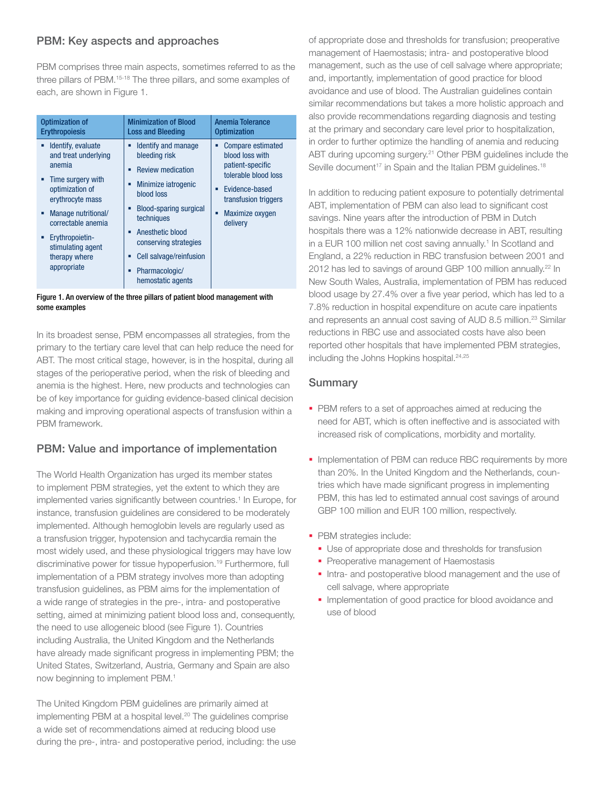#### PBM: Key aspects and approaches

PBM comprises three main aspects, sometimes referred to as the three pillars of PBM.15-18 The three pillars, and some examples of each, are shown in Figure 1.

| <b>Optimization of</b>                                                                                                                                                                                                                                     | <b>Minimization of Blood</b>                                                                                                                                                                                                                                                                 | Anemia Tolerance                                                                                                                                                                |
|------------------------------------------------------------------------------------------------------------------------------------------------------------------------------------------------------------------------------------------------------------|----------------------------------------------------------------------------------------------------------------------------------------------------------------------------------------------------------------------------------------------------------------------------------------------|---------------------------------------------------------------------------------------------------------------------------------------------------------------------------------|
| <b>Erythropoiesis</b>                                                                                                                                                                                                                                      | <b>Loss and Bleeding</b>                                                                                                                                                                                                                                                                     | <b>Optimization</b>                                                                                                                                                             |
| Identify, evaluate<br>٠<br>and treat underlying<br>anemia<br>Time surgery with<br>٠<br>optimization of<br>erythrocyte mass<br>Manage nutritional/<br>٠<br>correctable anemia<br>Erythropoietin-<br>٠.<br>stimulating agent<br>therapy where<br>appropriate | Identify and manage<br>Ξ<br>bleeding risk<br><b>Review medication</b><br>Minimize iatrogenic<br>о<br>blood loss<br><b>Blood-sparing surgical</b><br>techniques<br>Anesthetic blood<br>п<br>conserving strategies<br>Cell salvage/reinfusion<br>Ξ<br>Pharmacologic/<br>п<br>hemostatic agents | <b>Compare estimated</b><br>Ξ<br>blood loss with<br>patient-specific<br>tolerable blood loss<br>Evidence-based<br>٠<br>transfusion triggers<br>Maximize oxygen<br>о<br>delivery |



In its broadest sense, PBM encompasses all strategies, from the primary to the tertiary care level that can help reduce the need for ABT. The most critical stage, however, is in the hospital, during all stages of the perioperative period, when the risk of bleeding and anemia is the highest. Here, new products and technologies can be of key importance for guiding evidence-based clinical decision making and improving operational aspects of transfusion within a PBM framework.

### PBM: Value and importance of implementation

The World Health Organization has urged its member states to implement PBM strategies, yet the extent to which they are implemented varies significantly between countries.<sup>1</sup> In Europe, for instance, transfusion guidelines are considered to be moderately implemented. Although hemoglobin levels are regularly used as a transfusion trigger, hypotension and tachycardia remain the most widely used, and these physiological triggers may have low discriminative power for tissue hypoperfusion.19 Furthermore, full implementation of a PBM strategy involves more than adopting transfusion guidelines, as PBM aims for the implementation of a wide range of strategies in the pre-, intra- and postoperative setting, aimed at minimizing patient blood loss and, consequently, the need to use allogeneic blood (see Figure 1). Countries including Australia, the United Kingdom and the Netherlands have already made significant progress in implementing PBM; the United States, Switzerland, Austria, Germany and Spain are also now beginning to implement PBM.1

The United Kingdom PBM guidelines are primarily aimed at implementing PBM at a hospital level.<sup>20</sup> The guidelines comprise a wide set of recommendations aimed at reducing blood use during the pre-, intra- and postoperative period, including: the use

of appropriate dose and thresholds for transfusion; preoperative management of Haemostasis; intra- and postoperative blood management, such as the use of cell salvage where appropriate; and, importantly, implementation of good practice for blood avoidance and use of blood. The Australian guidelines contain similar recommendations but takes a more holistic approach and also provide recommendations regarding diagnosis and testing at the primary and secondary care level prior to hospitalization, in order to further optimize the handling of anemia and reducing ABT during upcoming surgery.<sup>21</sup> Other PBM guidelines include the Seville document<sup>17</sup> in Spain and the Italian PBM guidelines.<sup>18</sup>

In addition to reducing patient exposure to potentially detrimental ABT, implementation of PBM can also lead to significant cost savings. Nine years after the introduction of PBM in Dutch hospitals there was a 12% nationwide decrease in ABT, resulting in a EUR 100 million net cost saving annually.<sup>1</sup> In Scotland and England, a 22% reduction in RBC transfusion between 2001 and 2012 has led to savings of around GBP 100 million annually.<sup>22</sup> In New South Wales, Australia, implementation of PBM has reduced blood usage by 27.4% over a five year period, which has led to a 7.8% reduction in hospital expenditure on acute care inpatients and represents an annual cost saving of AUD 8.5 million.<sup>23</sup> Similar reductions in RBC use and associated costs have also been reported other hospitals that have implemented PBM strategies, including the Johns Hopkins hospital.<sup>24,25</sup>

- **PBM** refers to a set of approaches aimed at reducing the need for ABT, which is often ineffective and is associated with increased risk of complications, morbidity and mortality.
- **Implementation of PBM can reduce RBC requirements by more** than 20%. In the United Kingdom and the Netherlands, countries which have made significant progress in implementing PBM, this has led to estimated annual cost savings of around GBP 100 million and EUR 100 million, respectively.
- PBM strategies include:
	- Use of appropriate dose and thresholds for transfusion
	- Preoperative management of Haemostasis
	- **Intra- and postoperative blood management and the use of** cell salvage, where appropriate
	- **Implementation of good practice for blood avoidance and** use of blood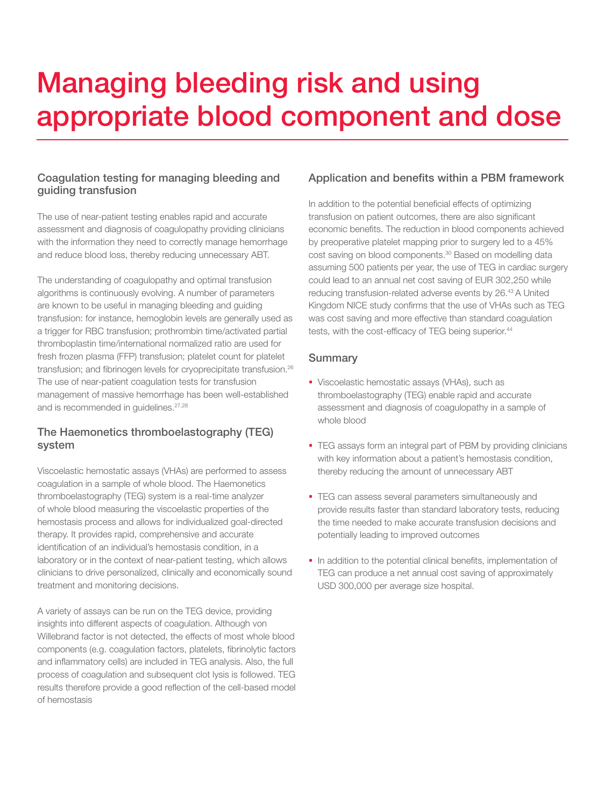## Managing bleeding risk and using appropriate blood component and dose

### Coagulation testing for managing bleeding and guiding transfusion

The use of near-patient testing enables rapid and accurate assessment and diagnosis of coagulopathy providing clinicians with the information they need to correctly manage hemorrhage and reduce blood loss, thereby reducing unnecessary ABT.

The understanding of coagulopathy and optimal transfusion algorithms is continuously evolving. A number of parameters are known to be useful in managing bleeding and guiding transfusion: for instance, hemoglobin levels are generally used as a trigger for RBC transfusion; prothrombin time/activated partial thromboplastin time/international normalized ratio are used for fresh frozen plasma (FFP) transfusion; platelet count for platelet transfusion; and fibrinogen levels for cryoprecipitate transfusion.26 The use of near-patient coagulation tests for transfusion management of massive hemorrhage has been well-established and is recommended in guidelines.<sup>27,28</sup>

### The Haemonetics thromboelastography (TEG) system

Viscoelastic hemostatic assays (VHAs) are performed to assess coagulation in a sample of whole blood. The Haemonetics thromboelastography (TEG) system is a real-time analyzer of whole blood measuring the viscoelastic properties of the hemostasis process and allows for individualized goal-directed therapy. It provides rapid, comprehensive and accurate identification of an individual's hemostasis condition, in a laboratory or in the context of near-patient testing, which allows clinicians to drive personalized, clinically and economically sound treatment and monitoring decisions.

A variety of assays can be run on the TEG device, providing insights into different aspects of coagulation. Although von Willebrand factor is not detected, the effects of most whole blood components (e.g. coagulation factors, platelets, fibrinolytic factors and inflammatory cells) are included in TEG analysis. Also, the full process of coagulation and subsequent clot lysis is followed. TEG results therefore provide a good reflection of the cell-based model of hemostasis

#### Application and benefits within a PBM framework

In addition to the potential beneficial effects of optimizing transfusion on patient outcomes, there are also significant economic benefits. The reduction in blood components achieved by preoperative platelet mapping prior to surgery led to a 45% cost saving on blood components.30 Based on modelling data assuming 500 patients per year, the use of TEG in cardiac surgery could lead to an annual net cost saving of EUR 302,250 while reducing transfusion-related adverse events by 26.43 A United Kingdom NICE study confirms that the use of VHAs such as TEG was cost saving and more effective than standard coagulation tests, with the cost-efficacy of TEG being superior.<sup>44</sup>

- Viscoelastic hemostatic assays (VHAs), such as thromboelastography (TEG) enable rapid and accurate assessment and diagnosis of coagulopathy in a sample of whole blood
- **TEG assays form an integral part of PBM by providing clinicians** with key information about a patient's hemostasis condition, thereby reducing the amount of unnecessary ABT
- **TEG can assess several parameters simultaneously and** provide results faster than standard laboratory tests, reducing the time needed to make accurate transfusion decisions and potentially leading to improved outcomes
- In addition to the potential clinical benefits, implementation of TEG can produce a net annual cost saving of approximately USD 300,000 per average size hospital.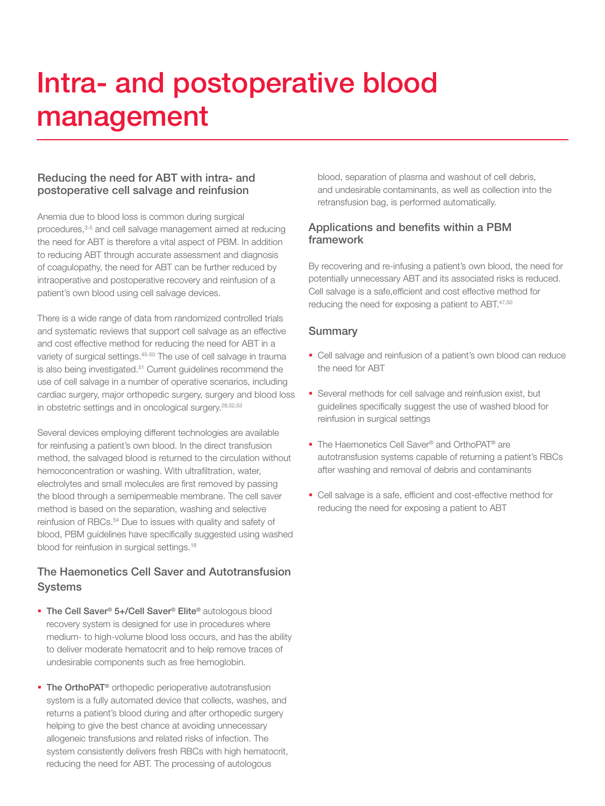## Intra- and postoperative blood management

#### Reducing the need for ABT with intra- and postoperative cell salvage and reinfusion

Anemia due to blood loss is common during surgical procedures,<sup>3-5</sup> and cell salvage management aimed at reducing the need for ABT is therefore a vital aspect of PBM. In addition to reducing ABT through accurate assessment and diagnosis of coagulopathy, the need for ABT can be further reduced by intraoperative and postoperative recovery and reinfusion of a patient's own blood using cell salvage devices.

There is a wide range of data from randomized controlled trials and systematic reviews that support cell salvage as an effective and cost effective method for reducing the need for ABT in a variety of surgical settings.<sup>45-50</sup> The use of cell salvage in trauma is also being investigated.<sup>51</sup> Current guidelines recommend the use of cell salvage in a number of operative scenarios, including cardiac surgery, major orthopedic surgery, surgery and blood loss in obstetric settings and in oncological surgery.28,52,53

Several devices employing different technologies are available for reinfusing a patient's own blood. In the direct transfusion method, the salvaged blood is returned to the circulation without hemoconcentration or washing. With ultrafiltration, water, electrolytes and small molecules are first removed by passing the blood through a semipermeable membrane. The cell saver method is based on the separation, washing and selective reinfusion of RBCs.<sup>54</sup> Due to issues with quality and safety of blood, PBM guidelines have specifically suggested using washed blood for reinfusion in surgical settings.18

### The Haemonetics Cell Saver and Autotransfusion **Systems**

- The Cell Saver<sup>®</sup> 5+/Cell Saver<sup>®</sup> Elite® autologous blood recovery system is designed for use in procedures where medium- to high-volume blood loss occurs, and has the ability to deliver moderate hematocrit and to help remove traces of undesirable components such as free hemoglobin.
- The OrthoPAT<sup>®</sup> orthopedic perioperative autotransfusion system is a fully automated device that collects, washes, and returns a patient's blood during and after orthopedic surgery helping to give the best chance at avoiding unnecessary allogeneic transfusions and related risks of infection. The system consistently delivers fresh RBCs with high hematocrit, reducing the need for ABT. The processing of autologous

blood, separation of plasma and washout of cell debris, and undesirable contaminants, as well as collection into the retransfusion bag, is performed automatically.

#### Applications and benefits within a PBM framework

By recovering and re-infusing a patient's own blood, the need for potentially unnecessary ABT and its associated risks is reduced. Cell salvage is a safe,efficient and cost effective method for reducing the need for exposing a patient to ABT.<sup>47,50</sup>

- Cell salvage and reinfusion of a patient's own blood can reduce the need for ABT
- Several methods for cell salvage and reinfusion exist, but guidelines specifically suggest the use of washed blood for reinfusion in surgical settings
- The Haemonetics Cell Saver<sup>®</sup> and OrthoPAT<sup>®</sup> are autotransfusion systems capable of returning a patient's RBCs after washing and removal of debris and contaminants
- Cell salvage is a safe, efficient and cost-effective method for reducing the need for exposing a patient to ABT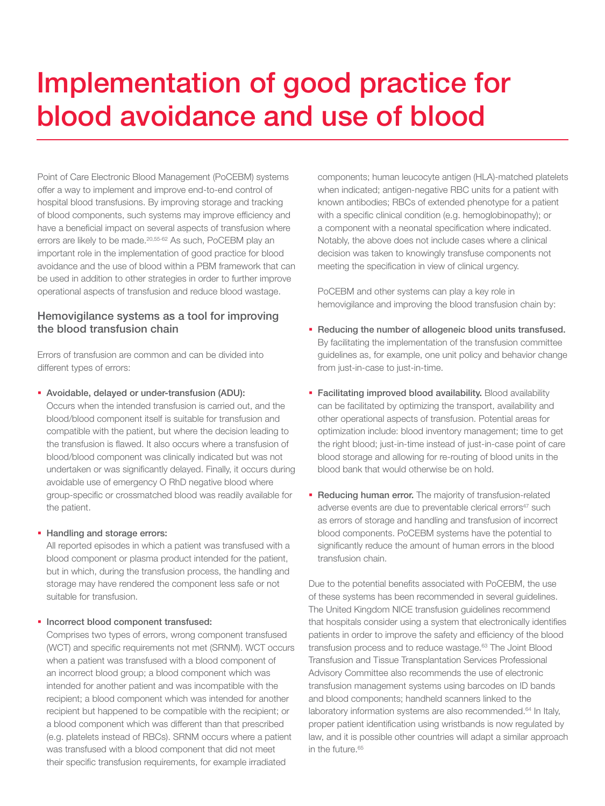## Implementation of good practice for blood avoidance and use of blood

Point of Care Electronic Blood Management (PoCEBM) systems offer a way to implement and improve end-to-end control of hospital blood transfusions. By improving storage and tracking of blood components, such systems may improve efficiency and have a beneficial impact on several aspects of transfusion where errors are likely to be made.<sup>20,55-62</sup> As such, PoCEBM play an important role in the implementation of good practice for blood avoidance and the use of blood within a PBM framework that can be used in addition to other strategies in order to further improve operational aspects of transfusion and reduce blood wastage.

#### Hemovigilance systems as a tool for improving the blood transfusion chain

Errors of transfusion are common and can be divided into different types of errors:

Avoidable, delayed or under-transfusion (ADU):

Occurs when the intended transfusion is carried out, and the blood/blood component itself is suitable for transfusion and compatible with the patient, but where the decision leading to the transfusion is flawed. It also occurs where a transfusion of blood/blood component was clinically indicated but was not undertaken or was significantly delayed. Finally, it occurs during avoidable use of emergency O RhD negative blood where group-specific or crossmatched blood was readily available for the patient.

#### **Handling and storage errors:**

All reported episodes in which a patient was transfused with a blood component or plasma product intended for the patient, but in which, during the transfusion process, the handling and storage may have rendered the component less safe or not suitable for transfusion.

#### **Incorrect blood component transfused:**

Comprises two types of errors, wrong component transfused (WCT) and specific requirements not met (SRNM). WCT occurs when a patient was transfused with a blood component of an incorrect blood group; a blood component which was intended for another patient and was incompatible with the recipient; a blood component which was intended for another recipient but happened to be compatible with the recipient; or a blood component which was different than that prescribed (e.g. platelets instead of RBCs). SRNM occurs where a patient was transfused with a blood component that did not meet their specific transfusion requirements, for example irradiated

components; human leucocyte antigen (HLA)-matched platelets when indicated; antigen-negative RBC units for a patient with known antibodies; RBCs of extended phenotype for a patient with a specific clinical condition (e.g. hemoglobinopathy); or a component with a neonatal specification where indicated. Notably, the above does not include cases where a clinical decision was taken to knowingly transfuse components not meeting the specification in view of clinical urgency.

PoCEBM and other systems can play a key role in hemovigilance and improving the blood transfusion chain by:

- Reducing the number of allogeneic blood units transfused. By facilitating the implementation of the transfusion committee guidelines as, for example, one unit policy and behavior change from just-in-case to just-in-time.
- **Facilitating improved blood availability.** Blood availability can be facilitated by optimizing the transport, availability and other operational aspects of transfusion. Potential areas for optimization include: blood inventory management; time to get the right blood; just-in-time instead of just-in-case point of care blood storage and allowing for re-routing of blood units in the blood bank that would otherwise be on hold.
- **Reducing human error.** The majority of transfusion-related adverse events are due to preventable clerical errors<sup>47</sup> such as errors of storage and handling and transfusion of incorrect blood components. PoCEBM systems have the potential to significantly reduce the amount of human errors in the blood transfusion chain.

Due to the potential benefits associated with PoCEBM, the use of these systems has been recommended in several guidelines. The United Kingdom NICE transfusion guidelines recommend that hospitals consider using a system that electronically identifies patients in order to improve the safety and efficiency of the blood transfusion process and to reduce wastage.<sup>63</sup> The Joint Blood Transfusion and Tissue Transplantation Services Professional Advisory Committee also recommends the use of electronic transfusion management systems using barcodes on ID bands and blood components; handheld scanners linked to the laboratory information systems are also recommended.<sup>64</sup> In Italy, proper patient identification using wristbands is now regulated by law, and it is possible other countries will adapt a similar approach in the future.<sup>65</sup>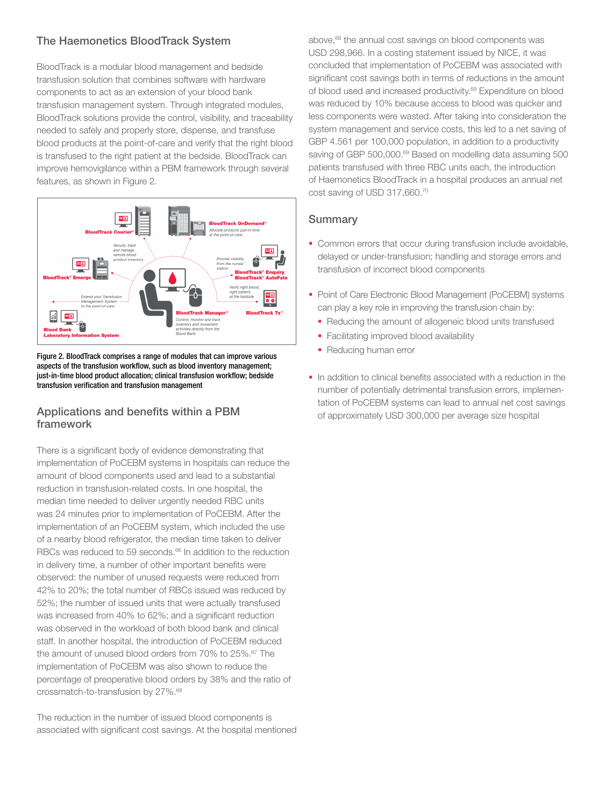### The Haemonetics BloodTrack System

BloodTrack is a modular blood management and bedside transfusion solution that combines software with hardware components to act as an extension of your blood bank transfusion management system. Through integrated modules, BloodTrack solutions provide the control, visibility, and traceability needed to safely and properly store, dispense, and transfuse blood products at the point-of-care and verify that the right blood is transfused to the right patient at the bedside. BloodTrack can improve hemovigilance within a PBM framework through several features, as shown in Figure 2.



Figure 2. BloodTrack comprises a range of modules that can improve various aspects of the transfusion workflow, such as blood inventory management; just-in-time blood product allocation; clinical transfusion workflow; bedside transfusion verification and transfusion management

### Applications and benefits within a PBM framework

There is a significant body of evidence demonstrating that implementation of PoCEBM systems in hospitals can reduce the amount of blood components used and lead to a substantial reduction in transfusion-related costs. In one hospital, the median time needed to deliver urgently needed RBC units was 24 minutes prior to implementation of PoCEBM. After the implementation of an PoCEBM system, which included the use of a nearby blood refrigerator, the median time taken to deliver RBCs was reduced to 59 seconds.<sup>66</sup> In addition to the reduction in delivery time, a number of other important benefits were observed: the number of unused requests were reduced from 42% to 20%; the total number of RBCs issued was reduced by 52%; the number of issued units that were actually transfused was increased from 40% to 62%; and a significant reduction was observed in the workload of both blood bank and clinical staff. In another hospital, the introduction of PoCEBM reduced the amount of unused blood orders from 70% to 25%.<sup>67</sup> The implementation of PoCEBM was also shown to reduce the percentage of preoperative blood orders by 38% and the ratio of crossmatch-to-transfusion by 27%.68

The reduction in the number of issued blood components is associated with significant cost savings. At the hospital mentioned above,<sup>68</sup> the annual cost savings on blood components was USD 298,966. In a costing statement issued by NICE, it was concluded that implementation of PoCEBM was associated with significant cost savings both in terms of reductions in the amount of blood used and increased productivity.<sup>69</sup> Expenditure on blood was reduced by 10% because access to blood was quicker and less components were wasted. After taking into consideration the system management and service costs, this led to a net saving of GBP 4.561 per 100,000 population, in addition to a productivity saving of GBP 500,000.<sup>69</sup> Based on modelling data assuming 500 patients transfused with three RBC units each, the introduction of Haemonetics BloodTrack in a hospital produces an annual net cost saving of USD 317,660.70

- Common errors that occur during transfusion include avoidable, delayed or under-transfusion; handling and storage errors and transfusion of incorrect blood components
- **Point of Care Electronic Blood Management (PoCEBM) systems** can play a key role in improving the transfusion chain by:
	- Reducing the amount of allogeneic blood units transfused
	- **Facilitating improved blood availability**
	- Reducing human error
- In addition to clinical benefits associated with a reduction in the number of potentially detrimental transfusion errors, implementation of PoCEBM systems can lead to annual net cost savings of approximately USD 300,000 per average size hospital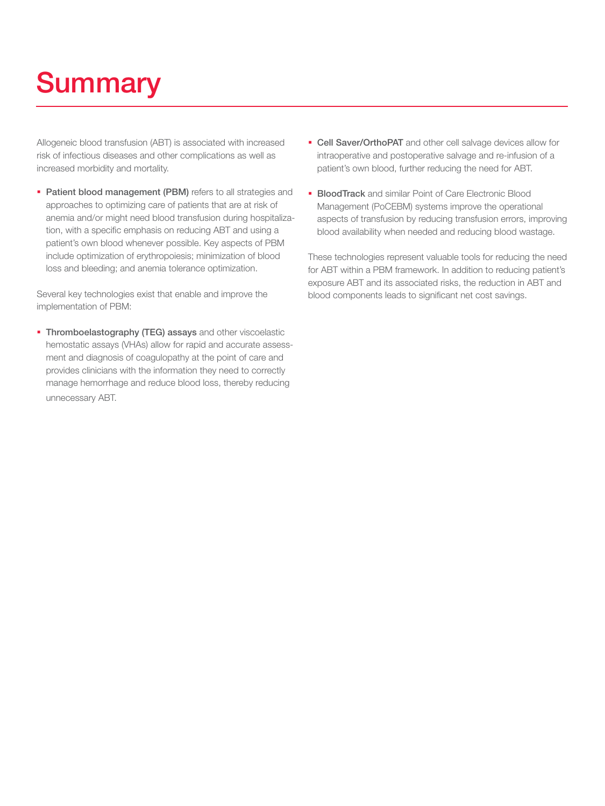# **Summary**

Allogeneic blood transfusion (ABT) is associated with increased risk of infectious diseases and other complications as well as increased morbidity and mortality.

**Patient blood management (PBM)** refers to all strategies and approaches to optimizing care of patients that are at risk of anemia and/or might need blood transfusion during hospitalization, with a specific emphasis on reducing ABT and using a patient's own blood whenever possible. Key aspects of PBM include optimization of erythropoiesis; minimization of blood loss and bleeding; and anemia tolerance optimization.

Several key technologies exist that enable and improve the implementation of PBM:

**Thromboelastography (TEG) assays** and other viscoelastic hemostatic assays (VHAs) allow for rapid and accurate assessment and diagnosis of coagulopathy at the point of care and provides clinicians with the information they need to correctly manage hemorrhage and reduce blood loss, thereby reducing unnecessary ABT.

- **Cell Saver/OrthoPAT** and other cell salvage devices allow for intraoperative and postoperative salvage and re-infusion of a patient's own blood, further reducing the need for ABT.
- **BloodTrack** and similar Point of Care Electronic Blood Management (PoCEBM) systems improve the operational aspects of transfusion by reducing transfusion errors, improving blood availability when needed and reducing blood wastage.

These technologies represent valuable tools for reducing the need for ABT within a PBM framework. In addition to reducing patient's exposure ABT and its associated risks, the reduction in ABT and blood components leads to significant net cost savings.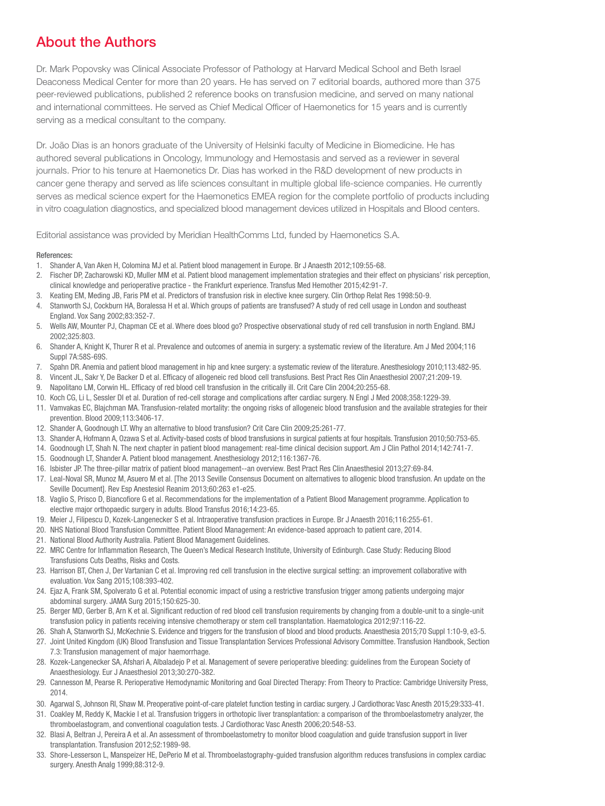### About the Authors

Dr. Mark Popovsky was Clinical Associate Professor of Pathology at Harvard Medical School and Beth Israel Deaconess Medical Center for more than 20 years. He has served on 7 editorial boards, authored more than 375 peer-reviewed publications, published 2 reference books on transfusion medicine, and served on many national and international committees. He served as Chief Medical Officer of Haemonetics for 15 years and is currently serving as a medical consultant to the company.

Dr. João Dias is an honors graduate of the University of Helsinki faculty of Medicine in Biomedicine. He has authored several publications in Oncology, Immunology and Hemostasis and served as a reviewer in several journals. Prior to his tenure at Haemonetics Dr. Dias has worked in the R&D development of new products in cancer gene therapy and served as life sciences consultant in multiple global life-science companies. He currently serves as medical science expert for the Haemonetics EMEA region for the complete portfolio of products including in vitro coagulation diagnostics, and specialized blood management devices utilized in Hospitals and Blood centers.

Editorial assistance was provided by Meridian HealthComms Ltd, funded by Haemonetics S.A.

#### References:

- 1. Shander A, Van Aken H, Colomina MJ et al. Patient blood management in Europe. Br J Anaesth 2012;109:55-68.
- 2. Fischer DP, Zacharowski KD, Muller MM et al. Patient blood management implementation strategies and their effect on physicians' risk perception, clinical knowledge and perioperative practice - the Frankfurt experience. Transfus Med Hemother 2015;42:91-7.
- 3. Keating EM, Meding JB, Faris PM et al. Predictors of transfusion risk in elective knee surgery. Clin Orthop Relat Res 1998:50-9.
- 4. Stanworth SJ, Cockburn HA, Boralessa H et al. Which groups of patients are transfused? A study of red cell usage in London and southeast England. Vox Sang 2002;83:352-7.
- 5. Wells AW, Mounter PJ, Chapman CE et al. Where does blood go? Prospective observational study of red cell transfusion in north England. BMJ 2002;325:803.
- 6. Shander A, Knight K, Thurer R et al. Prevalence and outcomes of anemia in surgery: a systematic review of the literature. Am J Med 2004;116 Suppl 7A:58S-69S.
- 7. Spahn DR. Anemia and patient blood management in hip and knee surgery: a systematic review of the literature. Anesthesiology 2010;113:482-95.
- 8. Vincent JL, Sakr Y, De Backer D et al. Efficacy of allogeneic red blood cell transfusions. Best Pract Res Clin Anaesthesiol 2007;21:209-19.
- 9. Napolitano LM, Corwin HL. Efficacy of red blood cell transfusion in the critically ill. Crit Care Clin 2004;20:255-68.
- 10. Koch CG, Li L, Sessler DI et al. Duration of red-cell storage and complications after cardiac surgery. N Engl J Med 2008;358:1229-39.
- 11. Vamvakas EC, Blajchman MA. Transfusion-related mortality: the ongoing risks of allogeneic blood transfusion and the available strategies for their prevention. Blood 2009;113:3406-17.
- 12. Shander A, Goodnough LT. Why an alternative to blood transfusion? Crit Care Clin 2009;25:261-77.
- 13. Shander A, Hofmann A, Ozawa S et al. Activity-based costs of blood transfusions in surgical patients at four hospitals. Transfusion 2010;50:753-65.
- 14. Goodnough LT, Shah N. The next chapter in patient blood management: real-time clinical decision support. Am J Clin Pathol 2014;142:741-7.
- 15. Goodnough LT, Shander A. Patient blood management. Anesthesiology 2012;116:1367-76.
- 16. Isbister JP. The three-pillar matrix of patient blood management--an overview. Best Pract Res Clin Anaesthesiol 2013;27:69-84.
- 17. Leal-Noval SR, Munoz M, Asuero M et al. [The 2013 Seville Consensus Document on alternatives to allogenic blood transfusion. An update on the Seville Document]. Rev Esp Anestesiol Reanim 2013;60:263 e1-e25.
- 18. Vaglio S, Prisco D, Biancofiore G et al. Recommendations for the implementation of a Patient Blood Management programme. Application to elective major orthopaedic surgery in adults. Blood Transfus 2016;14:23-65.
- 19. Meier J, Filipescu D, Kozek-Langenecker S et al. Intraoperative transfusion practices in Europe. Br J Anaesth 2016;116:255-61.
- 20. NHS National Blood Transfusion Committee. Patient Blood Management: An evidence-based approach to patient care, 2014.
- 21. National Blood Authority Australia. Patient Blood Management Guidelines.
- 22. MRC Centre for Inflammation Research, The Queen's Medical Research Institute, University of Edinburgh. Case Study: Reducing Blood Transfusions Cuts Deaths, Risks and Costs.
- 23. Harrison BT, Chen J, Der Vartanian C et al. Improving red cell transfusion in the elective surgical setting: an improvement collaborative with evaluation. Vox Sang 2015;108:393-402.
- 24. Ejaz A, Frank SM, Spolverato G et al. Potential economic impact of using a restrictive transfusion trigger among patients undergoing major abdominal surgery. JAMA Surg 2015;150:625-30.
- 25. Berger MD, Gerber B, Arn K et al. Significant reduction of red blood cell transfusion requirements by changing from a double-unit to a single-unit transfusion policy in patients receiving intensive chemotherapy or stem cell transplantation. Haematologica 2012;97:116-22.
- 26. Shah A, Stanworth SJ, McKechnie S. Evidence and triggers for the transfusion of blood and blood products. Anaesthesia 2015;70 Suppl 1:10-9, e3-5.
- 27. Joint United Kingdom (UK) Blood Transfusion and Tissue Transplantation Services Professional Advisory Committee. Transfusion Handbook, Section 7.3: Transfusion management of major haemorrhage.
- 28. Kozek-Langenecker SA, Afshari A, Albaladejo P et al. Management of severe perioperative bleeding: guidelines from the European Society of Anaesthesiology. Eur J Anaesthesiol 2013;30:270-382.
- 29. Cannesson M, Pearse R. Perioperative Hemodynamic Monitoring and Goal Directed Therapy: From Theory to Practice: Cambridge University Press, 2014.
- 30. Agarwal S, Johnson RI, Shaw M. Preoperative point-of-care platelet function testing in cardiac surgery. J Cardiothorac Vasc Anesth 2015;29:333-41.
- 31. Coakley M, Reddy K, Mackie I et al. Transfusion triggers in orthotopic liver transplantation: a comparison of the thromboelastometry analyzer, the thromboelastogram, and conventional coagulation tests. J Cardiothorac Vasc Anesth 2006;20:548-53.
- 32. Blasi A, Beltran J, Pereira A et al. An assessment of thromboelastometry to monitor blood coagulation and guide transfusion support in liver transplantation. Transfusion 2012;52:1989-98.
- 33. Shore-Lesserson L, Manspeizer HE, DePerio M et al. Thromboelastography-guided transfusion algorithm reduces transfusions in complex cardiac surgery. Anesth Analg 1999;88:312-9.